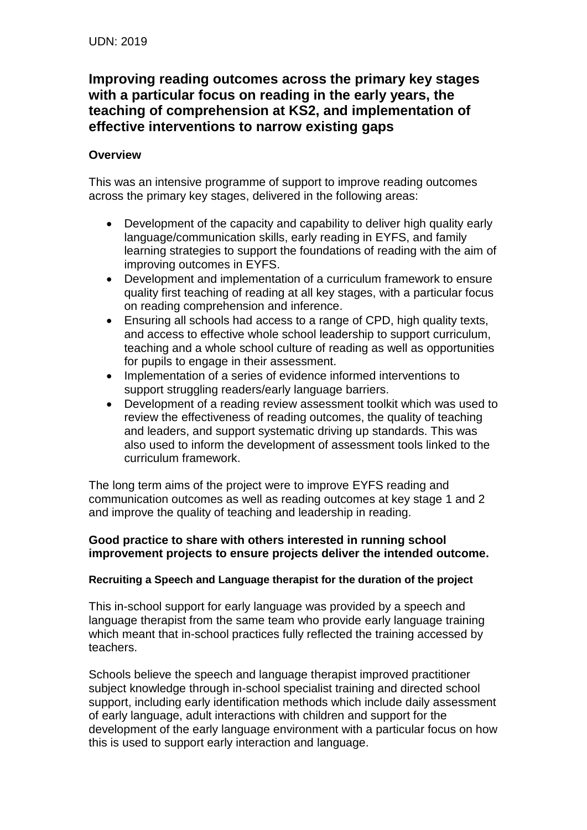# **Improving reading outcomes across the primary key stages with a particular focus on reading in the early years, the teaching of comprehension at KS2, and implementation of effective interventions to narrow existing gaps**

## **Overview**

This was an intensive programme of support to improve reading outcomes across the primary key stages, delivered in the following areas:

- Development of the capacity and capability to deliver high quality early language/communication skills, early reading in EYFS, and family learning strategies to support the foundations of reading with the aim of improving outcomes in EYFS.
- Development and implementation of a curriculum framework to ensure quality first teaching of reading at all key stages, with a particular focus on reading comprehension and inference.
- Ensuring all schools had access to a range of CPD, high quality texts, and access to effective whole school leadership to support curriculum, teaching and a whole school culture of reading as well as opportunities for pupils to engage in their assessment.
- Implementation of a series of evidence informed interventions to support struggling readers/early language barriers.
- Development of a reading review assessment toolkit which was used to review the effectiveness of reading outcomes, the quality of teaching and leaders, and support systematic driving up standards. This was also used to inform the development of assessment tools linked to the curriculum framework.

The long term aims of the project were to improve EYFS reading and communication outcomes as well as reading outcomes at key stage 1 and 2 and improve the quality of teaching and leadership in reading.

### **Good practice to share with others interested in running school improvement projects to ensure projects deliver the intended outcome.**

### **Recruiting a Speech and Language therapist for the duration of the project**

This in-school support for early language was provided by a speech and language therapist from the same team who provide early language training which meant that in-school practices fully reflected the training accessed by teachers.

Schools believe the speech and language therapist improved practitioner subject knowledge through in-school specialist training and directed school support, including early identification methods which include daily assessment of early language, adult interactions with children and support for the development of the early language environment with a particular focus on how this is used to support early interaction and language.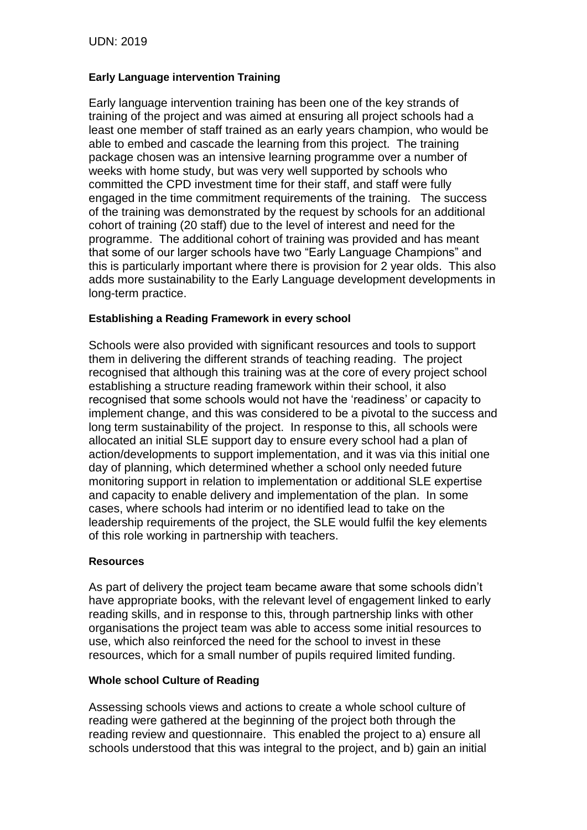### **Early Language intervention Training**

Early language intervention training has been one of the key strands of training of the project and was aimed at ensuring all project schools had a least one member of staff trained as an early years champion, who would be able to embed and cascade the learning from this project. The training package chosen was an intensive learning programme over a number of weeks with home study, but was very well supported by schools who committed the CPD investment time for their staff, and staff were fully engaged in the time commitment requirements of the training. The success of the training was demonstrated by the request by schools for an additional cohort of training (20 staff) due to the level of interest and need for the programme. The additional cohort of training was provided and has meant that some of our larger schools have two "Early Language Champions" and this is particularly important where there is provision for 2 year olds. This also adds more sustainability to the Early Language development developments in long-term practice.

#### **Establishing a Reading Framework in every school**

Schools were also provided with significant resources and tools to support them in delivering the different strands of teaching reading. The project recognised that although this training was at the core of every project school establishing a structure reading framework within their school, it also recognised that some schools would not have the 'readiness' or capacity to implement change, and this was considered to be a pivotal to the success and long term sustainability of the project. In response to this, all schools were allocated an initial SLE support day to ensure every school had a plan of action/developments to support implementation, and it was via this initial one day of planning, which determined whether a school only needed future monitoring support in relation to implementation or additional SLE expertise and capacity to enable delivery and implementation of the plan. In some cases, where schools had interim or no identified lead to take on the leadership requirements of the project, the SLE would fulfil the key elements of this role working in partnership with teachers.

#### **Resources**

As part of delivery the project team became aware that some schools didn't have appropriate books, with the relevant level of engagement linked to early reading skills, and in response to this, through partnership links with other organisations the project team was able to access some initial resources to use, which also reinforced the need for the school to invest in these resources, which for a small number of pupils required limited funding.

#### **Whole school Culture of Reading**

Assessing schools views and actions to create a whole school culture of reading were gathered at the beginning of the project both through the reading review and questionnaire. This enabled the project to a) ensure all schools understood that this was integral to the project, and b) gain an initial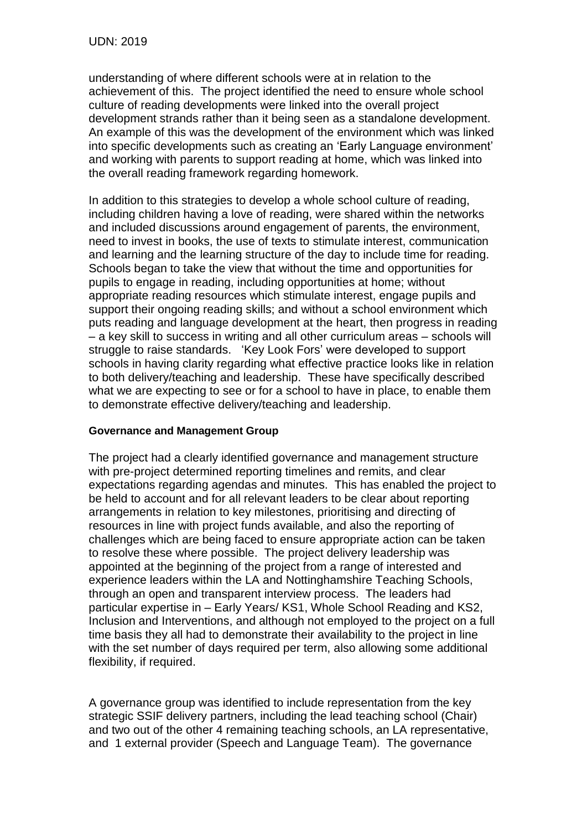understanding of where different schools were at in relation to the achievement of this. The project identified the need to ensure whole school culture of reading developments were linked into the overall project development strands rather than it being seen as a standalone development. An example of this was the development of the environment which was linked into specific developments such as creating an 'Early Language environment' and working with parents to support reading at home, which was linked into the overall reading framework regarding homework.

In addition to this strategies to develop a whole school culture of reading, including children having a love of reading, were shared within the networks and included discussions around engagement of parents, the environment, need to invest in books, the use of texts to stimulate interest, communication and learning and the learning structure of the day to include time for reading. Schools began to take the view that without the time and opportunities for pupils to engage in reading, including opportunities at home; without appropriate reading resources which stimulate interest, engage pupils and support their ongoing reading skills; and without a school environment which puts reading and language development at the heart, then progress in reading – a key skill to success in writing and all other curriculum areas – schools will struggle to raise standards. 'Key Look Fors' were developed to support schools in having clarity regarding what effective practice looks like in relation to both delivery/teaching and leadership. These have specifically described what we are expecting to see or for a school to have in place, to enable them to demonstrate effective delivery/teaching and leadership.

#### **Governance and Management Group**

The project had a clearly identified governance and management structure with pre-project determined reporting timelines and remits, and clear expectations regarding agendas and minutes. This has enabled the project to be held to account and for all relevant leaders to be clear about reporting arrangements in relation to key milestones, prioritising and directing of resources in line with project funds available, and also the reporting of challenges which are being faced to ensure appropriate action can be taken to resolve these where possible. The project delivery leadership was appointed at the beginning of the project from a range of interested and experience leaders within the LA and Nottinghamshire Teaching Schools, through an open and transparent interview process. The leaders had particular expertise in – Early Years/ KS1, Whole School Reading and KS2, Inclusion and Interventions, and although not employed to the project on a full time basis they all had to demonstrate their availability to the project in line with the set number of days required per term, also allowing some additional flexibility, if required.

A governance group was identified to include representation from the key strategic SSIF delivery partners, including the lead teaching school (Chair) and two out of the other 4 remaining teaching schools, an LA representative, and 1 external provider (Speech and Language Team). The governance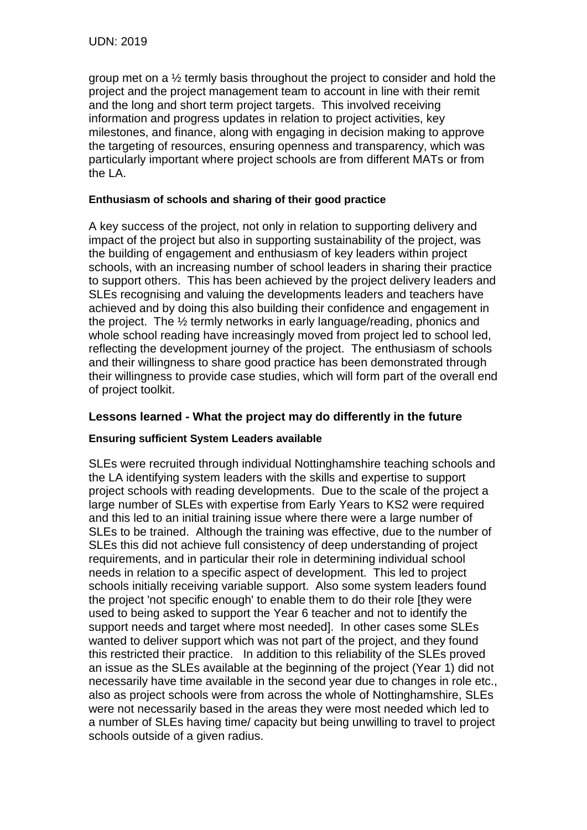group met on a ½ termly basis throughout the project to consider and hold the project and the project management team to account in line with their remit and the long and short term project targets. This involved receiving information and progress updates in relation to project activities, key milestones, and finance, along with engaging in decision making to approve the targeting of resources, ensuring openness and transparency, which was particularly important where project schools are from different MATs or from the LA.

### **Enthusiasm of schools and sharing of their good practice**

A key success of the project, not only in relation to supporting delivery and impact of the project but also in supporting sustainability of the project, was the building of engagement and enthusiasm of key leaders within project schools, with an increasing number of school leaders in sharing their practice to support others. This has been achieved by the project delivery leaders and SLEs recognising and valuing the developments leaders and teachers have achieved and by doing this also building their confidence and engagement in the project. The ½ termly networks in early language/reading, phonics and whole school reading have increasingly moved from project led to school led, reflecting the development journey of the project. The enthusiasm of schools and their willingness to share good practice has been demonstrated through their willingness to provide case studies, which will form part of the overall end of project toolkit.

### **Lessons learned - What the project may do differently in the future**

### **Ensuring sufficient System Leaders available**

SLEs were recruited through individual Nottinghamshire teaching schools and the LA identifying system leaders with the skills and expertise to support project schools with reading developments. Due to the scale of the project a large number of SLEs with expertise from Early Years to KS2 were required and this led to an initial training issue where there were a large number of SLEs to be trained. Although the training was effective, due to the number of SLEs this did not achieve full consistency of deep understanding of project requirements, and in particular their role in determining individual school needs in relation to a specific aspect of development. This led to project schools initially receiving variable support. Also some system leaders found the project 'not specific enough' to enable them to do their role [they were used to being asked to support the Year 6 teacher and not to identify the support needs and target where most needed]. In other cases some SLEs wanted to deliver support which was not part of the project, and they found this restricted their practice. In addition to this reliability of the SLEs proved an issue as the SLEs available at the beginning of the project (Year 1) did not necessarily have time available in the second year due to changes in role etc., also as project schools were from across the whole of Nottinghamshire, SLEs were not necessarily based in the areas they were most needed which led to a number of SLEs having time/ capacity but being unwilling to travel to project schools outside of a given radius.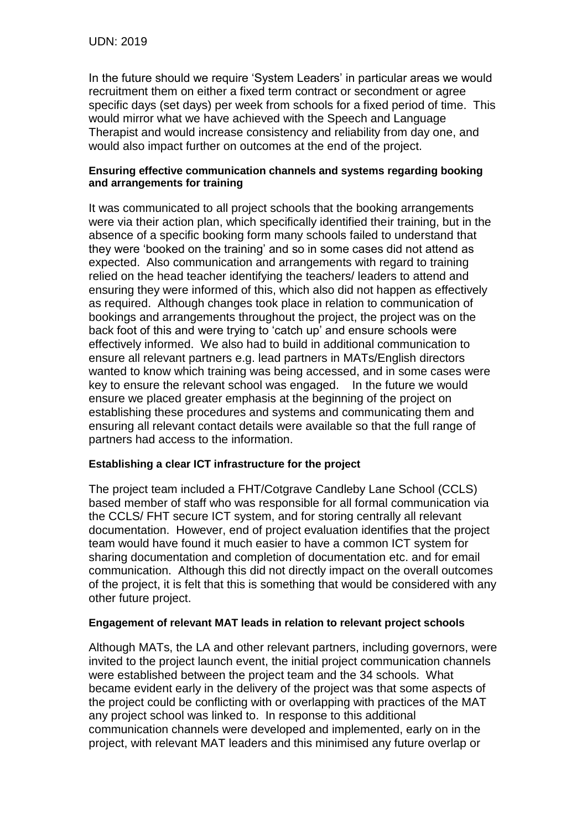In the future should we require 'System Leaders' in particular areas we would recruitment them on either a fixed term contract or secondment or agree specific days (set days) per week from schools for a fixed period of time. This would mirror what we have achieved with the Speech and Language Therapist and would increase consistency and reliability from day one, and would also impact further on outcomes at the end of the project.

#### **Ensuring effective communication channels and systems regarding booking and arrangements for training**

It was communicated to all project schools that the booking arrangements were via their action plan, which specifically identified their training, but in the absence of a specific booking form many schools failed to understand that they were 'booked on the training' and so in some cases did not attend as expected. Also communication and arrangements with regard to training relied on the head teacher identifying the teachers/ leaders to attend and ensuring they were informed of this, which also did not happen as effectively as required. Although changes took place in relation to communication of bookings and arrangements throughout the project, the project was on the back foot of this and were trying to 'catch up' and ensure schools were effectively informed. We also had to build in additional communication to ensure all relevant partners e.g. lead partners in MATs/English directors wanted to know which training was being accessed, and in some cases were key to ensure the relevant school was engaged. In the future we would ensure we placed greater emphasis at the beginning of the project on establishing these procedures and systems and communicating them and ensuring all relevant contact details were available so that the full range of partners had access to the information.

### **Establishing a clear ICT infrastructure for the project**

The project team included a FHT/Cotgrave Candleby Lane School (CCLS) based member of staff who was responsible for all formal communication via the CCLS/ FHT secure ICT system, and for storing centrally all relevant documentation. However, end of project evaluation identifies that the project team would have found it much easier to have a common ICT system for sharing documentation and completion of documentation etc. and for email communication. Although this did not directly impact on the overall outcomes of the project, it is felt that this is something that would be considered with any other future project.

#### **Engagement of relevant MAT leads in relation to relevant project schools**

Although MATs, the LA and other relevant partners, including governors, were invited to the project launch event, the initial project communication channels were established between the project team and the 34 schools. What became evident early in the delivery of the project was that some aspects of the project could be conflicting with or overlapping with practices of the MAT any project school was linked to. In response to this additional communication channels were developed and implemented, early on in the project, with relevant MAT leaders and this minimised any future overlap or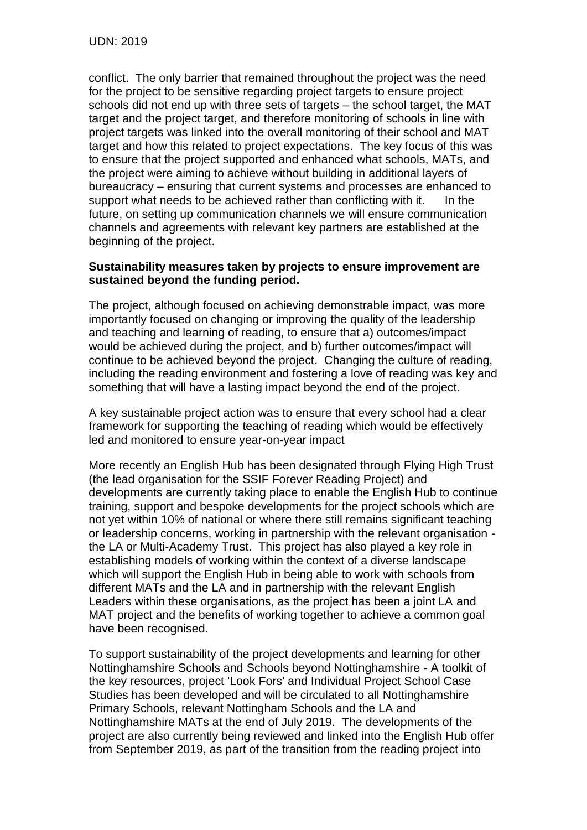conflict. The only barrier that remained throughout the project was the need for the project to be sensitive regarding project targets to ensure project schools did not end up with three sets of targets – the school target, the MAT target and the project target, and therefore monitoring of schools in line with project targets was linked into the overall monitoring of their school and MAT target and how this related to project expectations. The key focus of this was to ensure that the project supported and enhanced what schools, MATs, and the project were aiming to achieve without building in additional layers of bureaucracy – ensuring that current systems and processes are enhanced to support what needs to be achieved rather than conflicting with it. In the future, on setting up communication channels we will ensure communication channels and agreements with relevant key partners are established at the beginning of the project.

### **Sustainability measures taken by projects to ensure improvement are sustained beyond the funding period.**

The project, although focused on achieving demonstrable impact, was more importantly focused on changing or improving the quality of the leadership and teaching and learning of reading, to ensure that a) outcomes/impact would be achieved during the project, and b) further outcomes/impact will continue to be achieved beyond the project. Changing the culture of reading, including the reading environment and fostering a love of reading was key and something that will have a lasting impact beyond the end of the project.

A key sustainable project action was to ensure that every school had a clear framework for supporting the teaching of reading which would be effectively led and monitored to ensure year-on-year impact

More recently an English Hub has been designated through Flying High Trust (the lead organisation for the SSIF Forever Reading Project) and developments are currently taking place to enable the English Hub to continue training, support and bespoke developments for the project schools which are not yet within 10% of national or where there still remains significant teaching or leadership concerns, working in partnership with the relevant organisation the LA or Multi-Academy Trust. This project has also played a key role in establishing models of working within the context of a diverse landscape which will support the English Hub in being able to work with schools from different MATs and the LA and in partnership with the relevant English Leaders within these organisations, as the project has been a joint LA and MAT project and the benefits of working together to achieve a common goal have been recognised.

To support sustainability of the project developments and learning for other Nottinghamshire Schools and Schools beyond Nottinghamshire - A toolkit of the key resources, project 'Look Fors' and Individual Project School Case Studies has been developed and will be circulated to all Nottinghamshire Primary Schools, relevant Nottingham Schools and the LA and Nottinghamshire MATs at the end of July 2019. The developments of the project are also currently being reviewed and linked into the English Hub offer from September 2019, as part of the transition from the reading project into